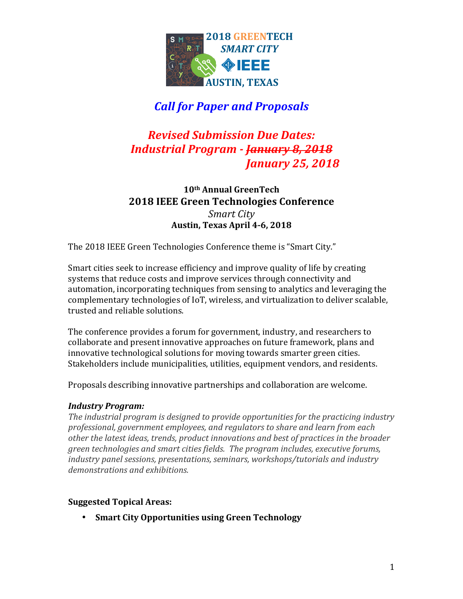

# *Call for Paper and Proposals*

### *Revised Submission Due Dates: Industrial Program - <del>January 8, 2018</del> Ianuary 25, 2018*

**10th Annual GreenTech 2018 IEEE Green Technologies Conference** *Smart City* **Austin, Texas April 4-6, 2018**

The 2018 IEEE Green Technologies Conference theme is "Smart City."

Smart cities seek to increase efficiency and improve quality of life by creating systems that reduce costs and improve services through connectivity and automation, incorporating techniques from sensing to analytics and leveraging the complementary technologies of IoT, wireless, and virtualization to deliver scalable, trusted and reliable solutions.

The conference provides a forum for government, industry, and researchers to collaborate and present innovative approaches on future framework, plans and innovative technological solutions for moving towards smarter green cities. Stakeholders include municipalities, utilities, equipment vendors, and residents.

Proposals describing innovative partnerships and collaboration are welcome.

### *Industry Program:*

The industrial program is designed to provide opportunities for the practicing industry *professional, government employees, and regulators to share and learn from each other the latest ideas, trends, product innovations and best of practices in the broader green technologies and smart cities fields. The program includes, executive forums, industry panel sessions, presentations, seminars, workshops/tutorials and industry* demonstrations and exhibitions.

### **Suggested Topical Areas:**

• **Smart City Opportunities using Green Technology**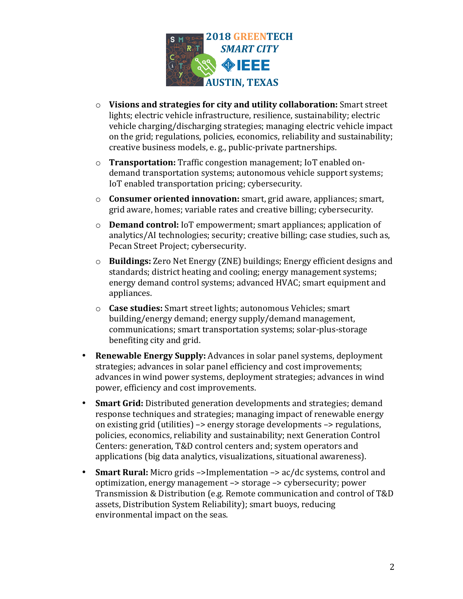

- o **Visions and strategies for city and utility collaboration:** Smart street lights; electric vehicle infrastructure, resilience, sustainability; electric vehicle charging/discharging strategies; managing electric vehicle impact on the grid; regulations, policies, economics, reliability and sustainability; creative business models, e.g., public-private partnerships.
- o **Transportation:** Traffic congestion management; IoT enabled ondemand transportation systems; autonomous vehicle support systems; IoT enabled transportation pricing; cybersecurity.
- o **Consumer oriented innovation:** smart, grid aware, appliances; smart, grid aware, homes; variable rates and creative billing; cybersecurity.
- o **Demand control:** IoT empowerment; smart appliances; application of analytics/AI technologies; security; creative billing; case studies, such as, Pecan Street Project; cybersecurity.
- o **Buildings:** Zero Net Energy (ZNE) buildings; Energy efficient designs and standards; district heating and cooling; energy management systems; energy demand control systems; advanced HVAC; smart equipment and appliances.
- $\circ$  **Case studies:** Smart street lights; autonomous Vehicles; smart building/energy demand; energy supply/demand management, communications; smart transportation systems; solar-plus-storage benefiting city and grid.
- **Renewable Energy Supply:** Advances in solar panel systems, deployment strategies; advances in solar panel efficiency and cost improvements; advances in wind power systems, deployment strategies; advances in wind power, efficiency and cost improvements.
- **Smart Grid:** Distributed generation developments and strategies; demand response techniques and strategies; managing impact of renewable energy on existing grid (utilities)  $\rightarrow$  energy storage developments  $\rightarrow$  regulations, policies, economics, reliability and sustainability; next Generation Control Centers: generation, T&D control centers and; system operators and applications (big data analytics, visualizations, situational awareness).
- **Smart Rural:** Micro grids ->Implementation -> ac/dc systems, control and optimization, energy management -> storage -> cybersecurity; power Transmission & Distribution (e.g. Remote communication and control of T&D assets, Distribution System Reliability); smart buoys, reducing environmental impact on the seas.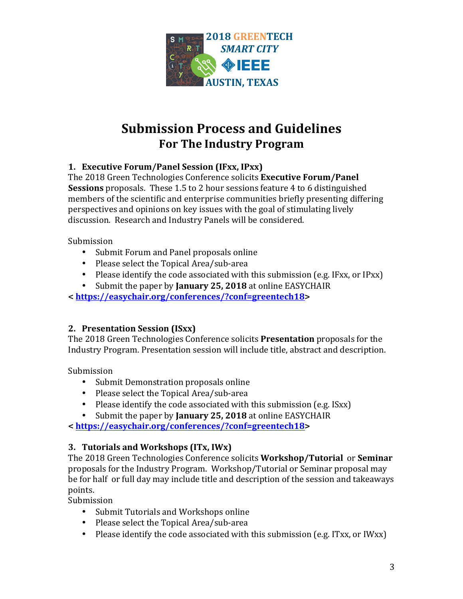

# **Submission Process and Guidelines For The Industry Program**

### 1. **Executive Forum/Panel Session** (IFxx, IPxx)

The 2018 Green Technologies Conference solicits **Executive Forum/Panel Sessions** proposals. These 1.5 to 2 hour sessions feature 4 to 6 distinguished members of the scientific and enterprise communities briefly presenting differing perspectives and opinions on key issues with the goal of stimulating lively discussion. Research and Industry Panels will be considered.

Submission

- Submit Forum and Panel proposals online
- Please select the Topical Area/sub-area
- Please identify the code associated with this submission (e.g. IFxx, or IPxx)
- Submit the paper by **January 25, 2018** at online EASYCHAIR

**< https://easychair.org/conferences/?conf=greentech18>**

### **2. Presentation Session (ISxx)**

The 2018 Green Technologies Conference solicits **Presentation** proposals for the Industry Program. Presentation session will include title, abstract and description.

Submission

- Submit Demonstration proposals online
- Please select the Topical Area/sub-area
- Please identify the code associated with this submission (e.g. ISxx)
- Submit the paper by **January 25, 2018** at online EASYCHAIR

**< https://easychair.org/conferences/?conf=greentech18>**

### **3. Tutorials and Workshops** (ITx, IWx)

The 2018 Green Technologies Conference solicits **Workshop/Tutorial** or **Seminar** proposals for the Industry Program. Workshop/Tutorial or Seminar proposal may be for half or full day may include title and description of the session and takeaways points. 

Submission

- Submit Tutorials and Workshops online
- Please select the Topical Area/sub-area
- Please identify the code associated with this submission (e.g. ITxx, or IWxx)